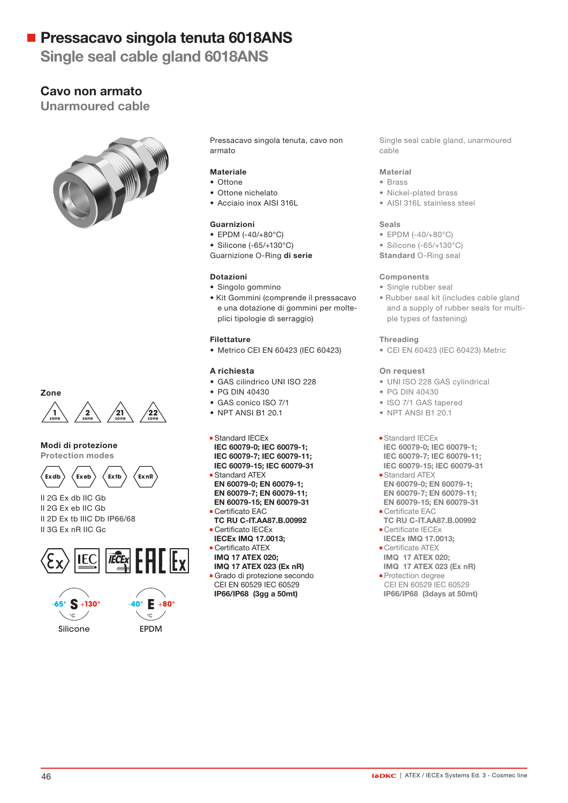Single seal cable gland 6018ANS

# Cavo non armato

Unarmoured cable





### Modi di protezione

Protection modes



II 2G Ex db IIC Gb II 2G Ex eb IIC Gb II 2D Ex tb IIIC Db IP66/68 II 3G Ex nR IIC Gc







Pressacavo singola tenuta, cavo non armato

## Materiale

- Ottone
- Ottone nichelato
- Acciaio inox AISI 316L

#### Guarnizioni

- EPDM (-40/+80°C)
- Silicone (-65/+130°C)

Guarnizione O-Ring di serie

### Dotazioni

- Singolo gommino
- Kit Gommini (comprende il pressacavo e una dotazione di gommini per molteplici tipologie di serraggio)

### Filettature

• Metrico CEI EN 60423 (IEC 60423)

## A richiesta

- GAS cilindrico UNI ISO 228
- PG DIN 40430
- GAS conico ISO 7/1
- NPT ANSI B1 20.1

#### **Standard IECEx**

- IEC 60079-0; IEC 60079-1; IEC 60079-7; IEC 60079-11;
- IEC 60079-15; IEC 60079-31 Standard ATEX EN 60079-0; EN 60079-1;
- EN 60079-7; EN 60079-11; EN 60079-15; EN 60079-31
- Certificato EAC
- TC RU C-IT.AA87.B.00992 Certificato IECEx
- IECEx IMQ 17.0013;
- Certificato ATEX
- IMQ 17 ATEX 020;
- IMQ 17 ATEX 023 (Ex nR) Grado di protezione secondo CEI EN 60529 IEC 60529 IP66/IP68 (3gg a 50mt)

Single seal cable gland, unarmoured cable

### Material

- Brass
- Nickel-plated brass
- AISI 316L stainless steel

### Seals

- EPDM (-40/+80°C)
- Silicone (-65/+130°C)
- Standard O-Ring seal

#### **Components**

- Single rubber seal
- Rubber seal kit (includes cable gland and a supply of rubber seals for multiple types of fastening)

### Threading

• CEI EN 60423 (IEC 60423) Metric

#### On request

- UNI ISO 228 GAS cylindrical
- PG DIN 40430
- ISO 7/1 GAS tapered
- NPT ANSI B1 20.1

#### **Standard IECEx**

- IEC 60079-0; IEC 60079-1; IEC 60079-7; IEC 60079-11; IEC 60079-15; IEC 60079-31
- **Standard ATEX**  EN 60079-0; EN 60079-1; EN 60079-7; EN 60079-11;
- EN 60079-15; EN 60079-31 **Certificate EAC**
- TC RU C-IT.AA87.B.00992 **Certificate IECEx**
- IECEx IMQ 17.0013; **Certificate ATEX**
- IMQ 17 ATEX 020; IMQ 17 ATEX 023 (Ex nR)
- **Protection degree**  CEI EN 60529 IEC 60529 IP66/IP68 (3days at 50mt)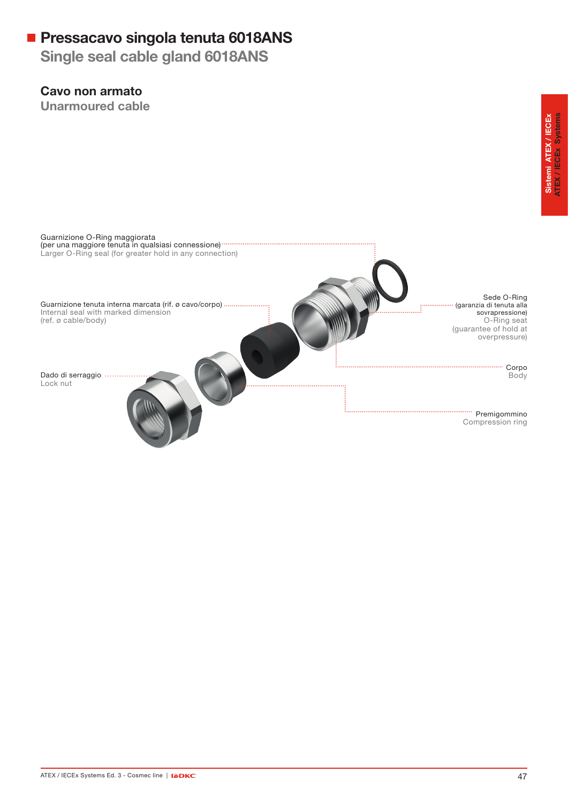Single seal cable gland 6018ANS

# Cavo non armato

Unarmoured cable

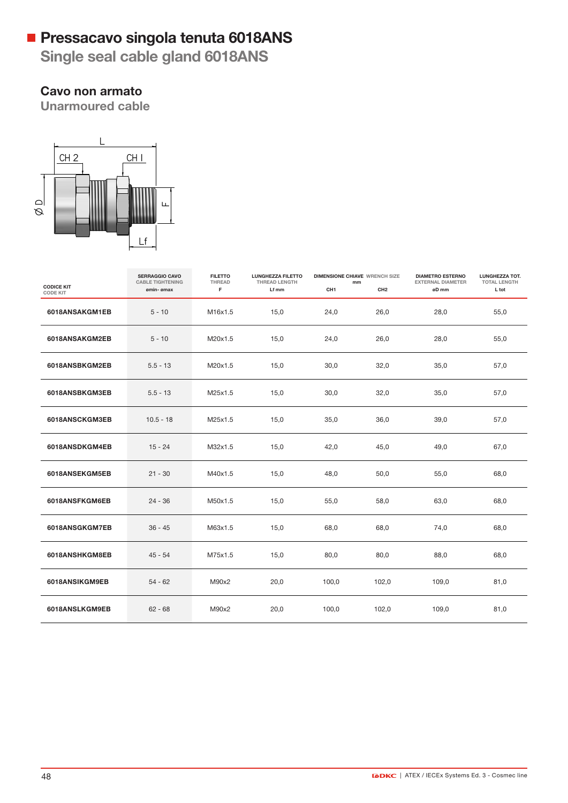Single seal cable gland 6018ANS

# Cavo non armato

Unarmoured cable



|                                      | <b>SERRAGGIO CAVO</b><br><b>CABLE TIGHTENING</b> | <b>FILETTO</b><br>THREAD | <b>LUNGHEZZA FILETTO</b><br>THREAD LENGTH | <b>DIMENSIONE CHIAVE WRENCH SIZE</b><br>mm |                 | <b>DIAMETRO ESTERNO</b><br><b>EXTERNAL DIAMETER</b> | LUNGHEZZA TOT.<br><b>TOTAL LENGTH</b> |
|--------------------------------------|--------------------------------------------------|--------------------------|-------------------------------------------|--------------------------------------------|-----------------|-----------------------------------------------------|---------------------------------------|
| <b>CODICE KIT</b><br><b>CODE KIT</b> | ømin- ømax                                       | F.                       | Lf mm                                     | CH <sub>1</sub>                            | CH <sub>2</sub> | øD mm                                               | L tot                                 |
| 6018ANSAKGM1EB                       | $5 - 10$                                         | M16x1.5                  | 15,0                                      | 24,0                                       | 26,0            | 28,0                                                | 55,0                                  |
| 6018ANSAKGM2EB                       | $5 - 10$                                         | M20x1.5                  | 15,0                                      | 24,0                                       | 26,0            | 28,0                                                | 55,0                                  |
| 6018ANSBKGM2EB                       | $5.5 - 13$                                       | M20x1.5                  | 15,0                                      | 30,0                                       | 32,0            | 35,0                                                | 57,0                                  |
| 6018ANSBKGM3EB                       | $5.5 - 13$                                       | M25x1.5                  | 15,0                                      | 30,0                                       | 32,0            | 35,0                                                | 57,0                                  |
| 6018ANSCKGM3EB                       | $10.5 - 18$                                      | M25x1.5                  | 15,0                                      | 35,0                                       | 36,0            | 39,0                                                | 57,0                                  |
| 6018ANSDKGM4EB                       | $15 - 24$                                        | M32x1.5                  | 15,0                                      | 42,0                                       | 45,0            | 49,0                                                | 67,0                                  |
| 6018ANSEKGM5EB                       | $21 - 30$                                        | M40x1.5                  | 15,0                                      | 48,0                                       | 50,0            | 55,0                                                | 68,0                                  |
| 6018ANSFKGM6EB                       | $24 - 36$                                        | M50x1.5                  | 15,0                                      | 55,0                                       | 58,0            | 63,0                                                | 68,0                                  |
| 6018ANSGKGM7EB                       | $36 - 45$                                        | M63x1.5                  | 15,0                                      | 68,0                                       | 68,0            | 74,0                                                | 68,0                                  |
| 6018ANSHKGM8EB                       | $45 - 54$                                        | M75x1.5                  | 15,0                                      | 80,0                                       | 80,0            | 88,0                                                | 68,0                                  |
| 6018ANSIKGM9EB                       | $54 - 62$                                        | M90x2                    | 20,0                                      | 100,0                                      | 102,0           | 109,0                                               | 81,0                                  |
| 6018ANSLKGM9EB                       | $62 - 68$                                        | M90x2                    | 20,0                                      | 100,0                                      | 102,0           | 109,0                                               | 81,0                                  |